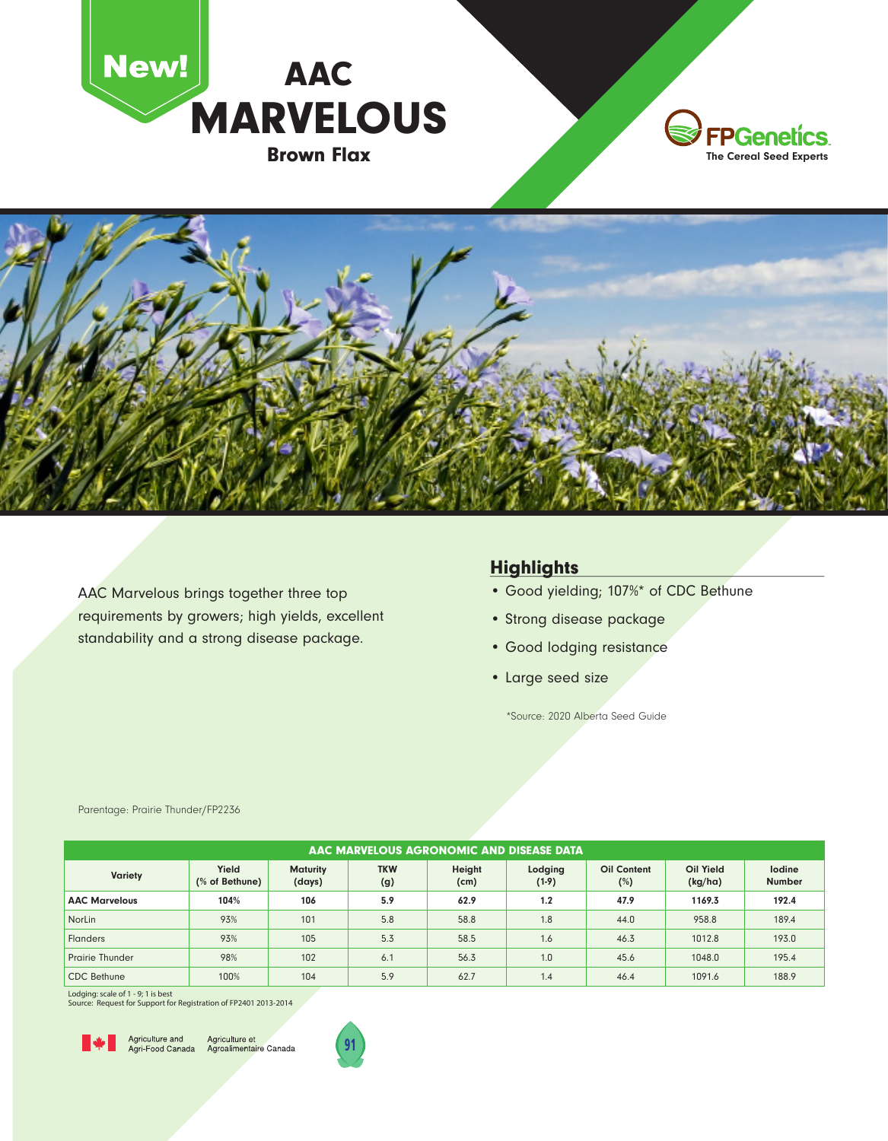





AAC Marvelous brings together three top requirements by growers; high yields, excellent standability and a strong disease package.

## **Highlights**

- Good yielding; 107%\* of CDC Bethune
- Strong disease package
- Good lodging resistance
- Large seed size

\*Source: 2020 Alberta Seed Guide

| AAC MARVELOUS AGRONOMIC AND DISEASE DATA |                         |                           |                   |                |                    |                           |                      |                         |
|------------------------------------------|-------------------------|---------------------------|-------------------|----------------|--------------------|---------------------------|----------------------|-------------------------|
| <b>Variety</b>                           | Yield<br>(% of Bethune) | <b>Maturity</b><br>(days) | <b>TKW</b><br>(g) | Height<br>(cm) | Lodging<br>$(1-9)$ | <b>Oil Content</b><br>(%) | Oil Yield<br>(kg/ha) | lodine<br><b>Number</b> |
| <b>AAC Marvelous</b>                     | 104%                    | 106                       | 5.9               | 62.9           | 1.2                | 47.9                      | 1169.3               | 192.4                   |
| <b>NorLin</b>                            | 93%                     | 101                       | 5.8               | 58.8           | 1.8                | 44.0                      | 958.8                | 189.4                   |
| <b>Flanders</b>                          | 93%                     | 105                       | 5.3               | 58.5           | 1.6                | 46.3                      | 1012.8               | 193.0                   |
| <b>Prairie Thunder</b>                   | 98%                     | 102                       | 6.1               | 56.3           | 1.0                | 45.6                      | 1048.0               | 195.4                   |
| <b>CDC</b> Bethune                       | 100%                    | 104                       | 5.9               | 62.7           | 1.4                | 46.4                      | 1091.6               | 188.9                   |

Parentage: Prairie Thunder/FP2236

Lodging: scale of 1 - 9; 1 is best

Source: Request for Support for Registration of FP2401 2013-2014



Agriculture and Agriculture et<br>Agri-Food Canada Agroalimentaire Canada